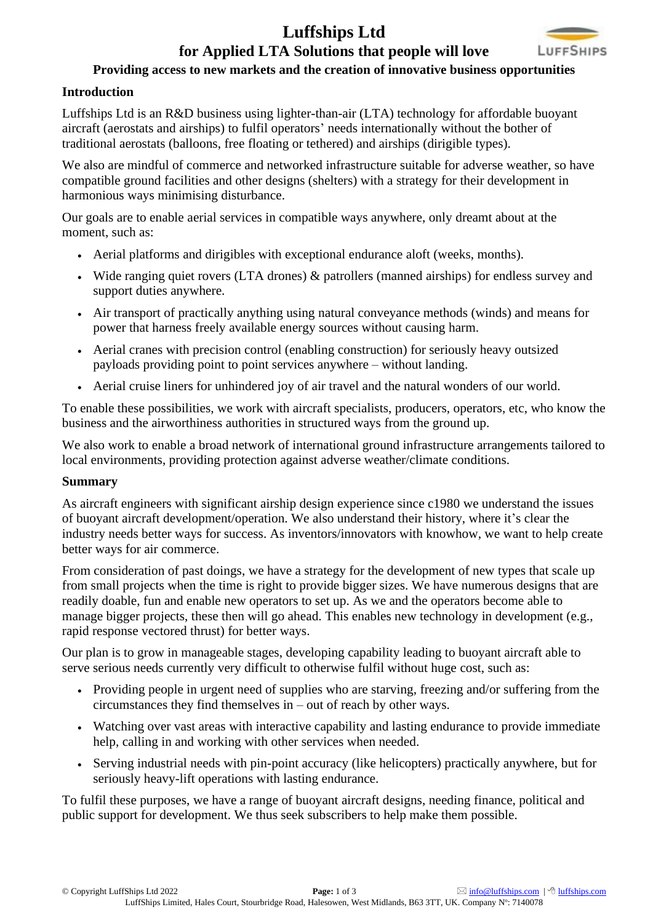## **[Luffships Ltd](https://www.luffships.com/) for Applied LTA Solutions that people will love**



### **Providing access to new markets and the creation of innovative business opportunities**

#### **Introduction**

[Luffships](https://www.luffships.com/) Ltd is an R&D business using lighter-than-air (LTA) technology for affordable buoyant aircraft (aerostats and airships) to fulfil operators' needs internationally without the bother of traditional aerostats (balloons, free floating or tethered) and airships (dirigible types).

We also are mindful of commerce and networked infrastructure suitable for adverse weather, so have compatible ground facilities and other designs (shelters) with a strategy for their development in harmonious ways minimising disturbance.

Our goals are to enable aerial services in compatible ways anywhere, only dreamt about at the moment, such as:

- Aerial platforms and dirigibles with exceptional endurance aloft (weeks, months).
- Wide ranging quiet rovers (LTA drones) & patrollers (manned airships) for endless survey and support duties anywhere.
- Air transport of practically anything using natural conveyance methods (winds) and means for power that harness freely available energy sources without causing harm.
- Aerial cranes with precision control (enabling construction) for seriously heavy outsized payloads providing point to point services anywhere – without landing.
- Aerial cruise liners for unhindered joy of air travel and the natural wonders of our world.

To enable these possibilities, we work with aircraft specialists, producers, operators, etc, who know the business and the airworthiness authorities in structured ways from the ground up.

We also work to enable a broad network of international ground infrastructure arrangements tailored to local environments, providing protection against adverse weather/climate conditions.

#### **Summary**

As aircraft engineers with significant airship design experience since c1980 we understand the issues of buoyant aircraft development/operation. We also understand their history, where it's clear the industry needs better ways for success. As inventors/innovators with knowhow, we want to help create better ways for air commerce.

From consideration of past doings, we have a strategy for the development of new types that scale up from small projects when the time is right to provide bigger sizes. We have numerous designs that are readily doable, fun and enable new operators to set up. As we and the operators become able to manage bigger projects, these then will go ahead. This enables new technology in development (e.g., rapid response vectored thrust) for better ways.

Our plan is to grow in manageable stages, developing capability leading to buoyant aircraft able to serve serious needs currently very difficult to otherwise fulfil without huge cost, such as:

- Providing people in urgent need of supplies who are starving, freezing and/or suffering from the circumstances they find themselves in – out of reach by other ways.
- Watching over vast areas with interactive capability and lasting endurance to provide immediate help, calling in and working with other services when needed.
- Serving industrial needs with pin-point accuracy (like helicopters) practically anywhere, but for seriously heavy-lift operations with lasting endurance.

To fulfil these purposes, we have a range of buoyant aircraft designs, needing finance, political and public support for development. We thus seek subscribers to help make them possible.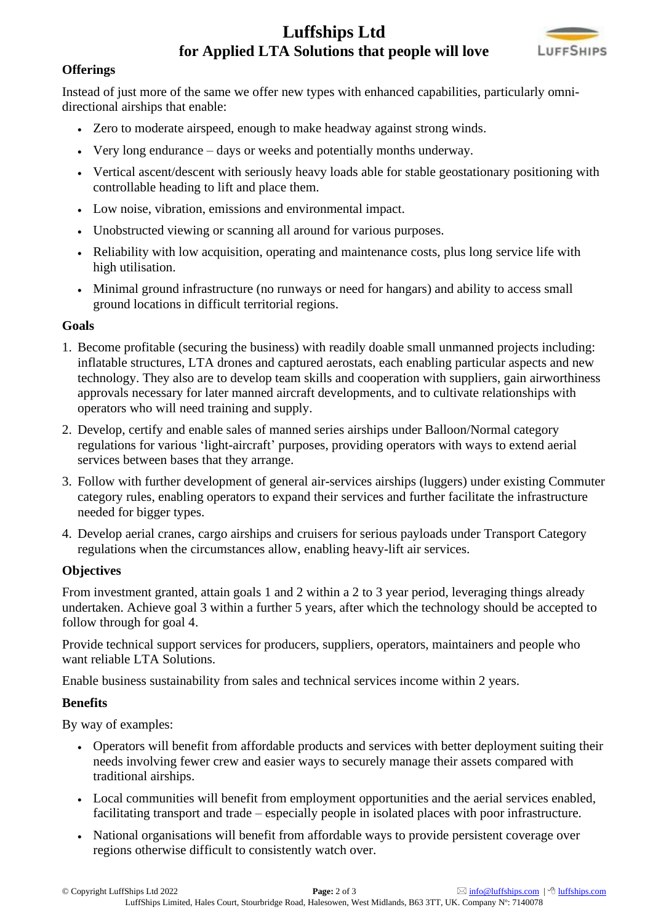# **[Luffships Ltd](https://www.luffships.com/) for Applied LTA Solutions that people will love**



#### **Offerings**

Instead of just more of the same we offer new types with enhanced capabilities, particularly omnidirectional airships that enable:

- Zero to moderate airspeed, enough to make headway against strong winds.
- Very long endurance days or weeks and potentially months underway.
- Vertical ascent/descent with seriously heavy loads able for stable geostationary positioning with controllable heading to lift and place them.
- Low noise, vibration, emissions and environmental impact.
- Unobstructed viewing or scanning all around for various purposes.
- Reliability with low acquisition, operating and maintenance costs, plus long service life with high utilisation.
- Minimal ground infrastructure (no runways or need for hangars) and ability to access small ground locations in difficult territorial regions.

#### **Goals**

- 1. Become profitable (securing the business) with readily doable small unmanned projects including: inflatable structures, LTA drones and captured aerostats, each enabling particular aspects and new technology. They also are to develop team skills and cooperation with suppliers, gain airworthiness approvals necessary for later manned aircraft developments, and to cultivate relationships with operators who will need training and supply.
- 2. Develop, certify and enable sales of manned series airships under Balloon/Normal category regulations for various 'light-aircraft' purposes, providing operators with ways to extend aerial services between bases that they arrange.
- 3. Follow with further development of general air-services airships (luggers) under existing Commuter category rules, enabling operators to expand their services and further facilitate the infrastructure needed for bigger types.
- 4. Develop aerial cranes, cargo airships and cruisers for serious payloads under Transport Category regulations when the circumstances allow, enabling heavy-lift air services.

#### **Objectives**

From investment granted, attain goals 1 and 2 within a 2 to 3 year period, leveraging things already undertaken. Achieve goal 3 within a further 5 years, after which the technology should be accepted to follow through for goal 4.

Provide technical support services for producers, suppliers, operators, maintainers and people who want reliable LTA Solutions.

Enable business sustainability from sales and technical services income within 2 years.

#### **Benefits**

By way of examples:

- Operators will benefit from affordable products and services with better deployment suiting their needs involving fewer crew and easier ways to securely manage their assets compared with traditional airships.
- Local communities will benefit from employment opportunities and the aerial services enabled, facilitating transport and trade – especially people in isolated places with poor infrastructure.
- National organisations will benefit from affordable ways to provide persistent coverage over regions otherwise difficult to consistently watch over.